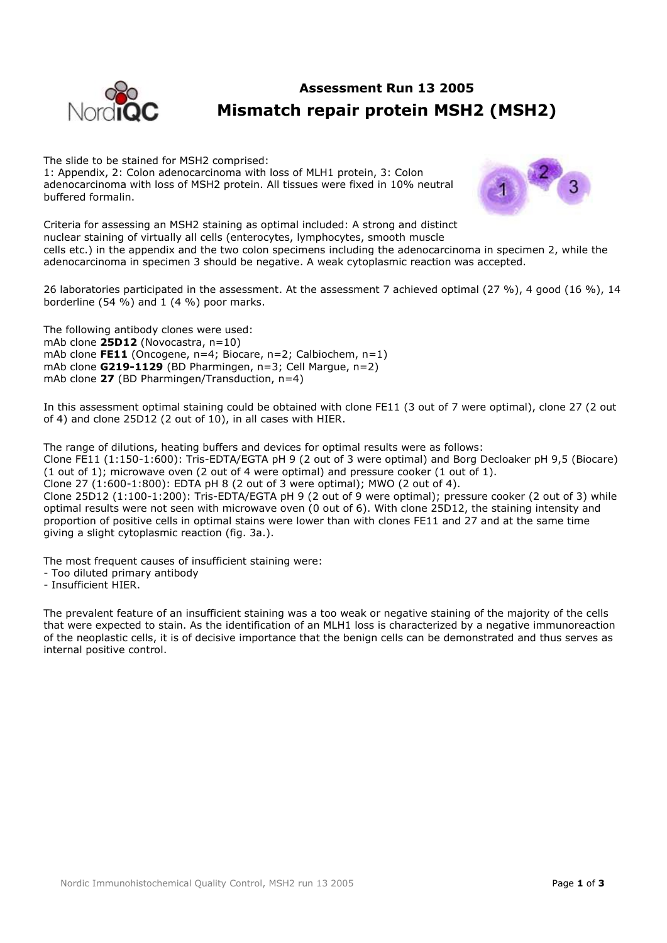

# **Assessment Run 13 2005 Mismatch repair protein MSH2 (MSH2)**

The slide to be stained for MSH2 comprised: 1: Appendix, 2: Colon adenocarcinoma with loss of MLH1 protein, 3: Colon adenocarcinoma with loss of MSH2 protein. All tissues were fixed in 10% neutral buffered formalin.



Criteria for assessing an MSH2 staining as optimal included: A strong and distinct nuclear staining of virtually all cells (enterocytes, lymphocytes, smooth muscle cells etc.) in the appendix and the two colon specimens including the adenocarcinoma in specimen 2, while the adenocarcinoma in specimen 3 should be negative. A weak cytoplasmic reaction was accepted.

26 laboratories participated in the assessment. At the assessment 7 achieved optimal (27 %), 4 good (16 %), 14 borderline (54 %) and 1 (4 %) poor marks.

The following antibody clones were used: mAb clone **25D12** (Novocastra, n=10) mAb clone **FE11** (Oncogene, n=4; Biocare, n=2; Calbiochem, n=1) mAb clone **G219-1129** (BD Pharmingen, n=3; Cell Margue, n=2) mAb clone **27** (BD Pharmingen/Transduction, n=4)

In this assessment optimal staining could be obtained with clone FE11 (3 out of 7 were optimal), clone 27 (2 out of 4) and clone 25D12 (2 out of 10), in all cases with HIER.

The range of dilutions, heating buffers and devices for optimal results were as follows: Clone FE11 (1:150-1:600): Tris-EDTA/EGTA pH 9 (2 out of 3 were optimal) and Borg Decloaker pH 9,5 (Biocare) (1 out of 1); microwave oven (2 out of 4 were optimal) and pressure cooker (1 out of 1). Clone 27 (1:600-1:800): EDTA pH 8 (2 out of 3 were optimal); MWO (2 out of 4). Clone 25D12 (1:100-1:200): Tris-EDTA/EGTA pH 9 (2 out of 9 were optimal); pressure cooker (2 out of 3) while optimal results were not seen with microwave oven (0 out of 6). With clone 25D12, the staining intensity and proportion of positive cells in optimal stains were lower than with clones FE11 and 27 and at the same time giving a slight cytoplasmic reaction (fig. 3a.).

The most frequent causes of insufficient staining were:

- Too diluted primary antibody
- Insufficient HIER.

The prevalent feature of an insufficient staining was a too weak or negative staining of the majority of the cells that were expected to stain. As the identification of an MLH1 loss is characterized by a negative immunoreaction of the neoplastic cells, it is of decisive importance that the benign cells can be demonstrated and thus serves as internal positive control.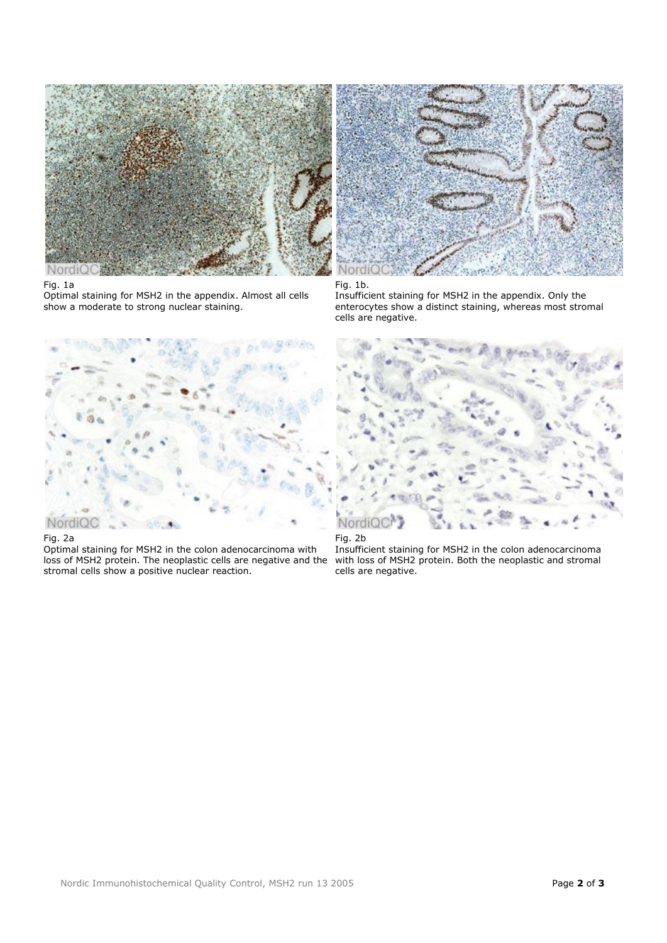

## Fig. 1a

Optimal staining for MSH2 in the appendix. Almost all cells show a moderate to strong nuclear staining.



## Fig. 1b.

Insufficient staining for MSH2 in the appendix. Only the enterocytes show a distinct staining, whereas most stromal cells are negative.



### Fig. 2a

Optimal staining for MSH2 in the colon adenocarcinoma with loss of MSH2 protein. The neoplastic cells are negative and the stromal cells show a positive nuclear reaction.





Insufficient staining for MSH2 in the colon adenocarcinoma with loss of MSH2 protein. Both the neoplastic and stromal cells are negative.